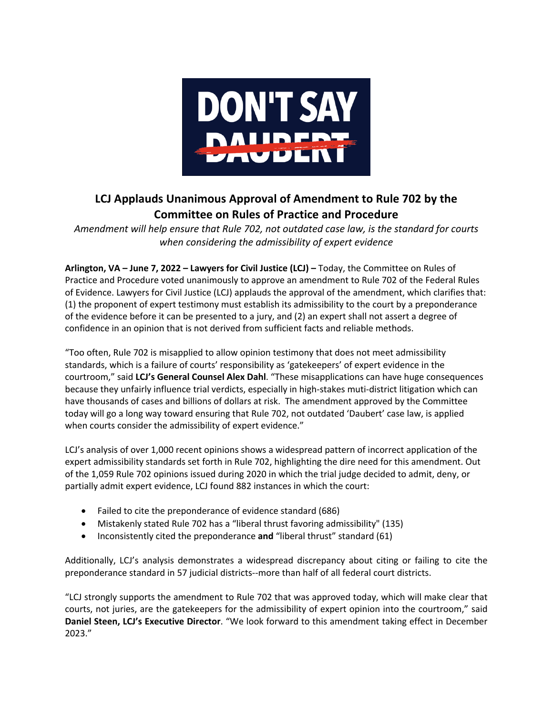

## **LCJ Applauds Unanimous Approval of Amendment to Rule 702 by the Committee on Rules of Practice and Procedure**

*Amendment will help ensure that Rule 702, not outdated case law, is the standard for courts when considering the admissibility of expert evidence* 

**Arlington, VA – June 7, 2022 – Lawyers for Civil Justice (LCJ) –** Today, the Committee on Rules of Practice and Procedure voted unanimously to approve an amendment to Rule 702 of the Federal Rules of Evidence. Lawyers for Civil Justice (LCJ) applauds the approval of the amendment, which clarifies that: (1) the proponent of expert testimony must establish its admissibility to the court by a preponderance of the evidence before it can be presented to a jury, and (2) an expert shall not assert a degree of confidence in an opinion that is not derived from sufficient facts and reliable methods.

"Too often, Rule 702 is misapplied to allow opinion testimony that does not meet admissibility standards, which is a failure of courts' responsibility as 'gatekeepers' of expert evidence in the courtroom," said **LCJ's General Counsel Alex Dahl**. "These misapplications can have huge consequences because they unfairly influence trial verdicts, especially in high-stakes muti-district litigation which can have thousands of cases and billions of dollars at risk. The amendment approved by the Committee today will go a long way toward ensuring that Rule 702, not outdated 'Daubert' case law, is applied when courts consider the admissibility of expert evidence."

LCJ's analysis of over 1,000 recent opinions shows a widespread pattern of incorrect application of the expert admissibility standards set forth in Rule 702, highlighting the dire need for this amendment. Out of the 1,059 Rule 702 opinions issued during 2020 in which the trial judge decided to admit, deny, or partially admit expert evidence, LCJ found 882 instances in which the court:

- Failed to cite the preponderance of evidence standard (686)
- Mistakenly stated Rule 702 has a "liberal thrust favoring admissibility" (135)
- Inconsistently cited the preponderance **and** "liberal thrust" standard (61)

Additionally, LCJ's analysis demonstrates a widespread discrepancy about citing or failing to cite the preponderance standard in 57 judicial districts--more than half of all federal court districts.

"LCJ strongly supports the amendment to Rule 702 that was approved today, which will make clear that courts, not juries, are the gatekeepers for the admissibility of expert opinion into the courtroom," said **Daniel Steen, LCJ's Executive Director**. "We look forward to this amendment taking effect in December 2023."